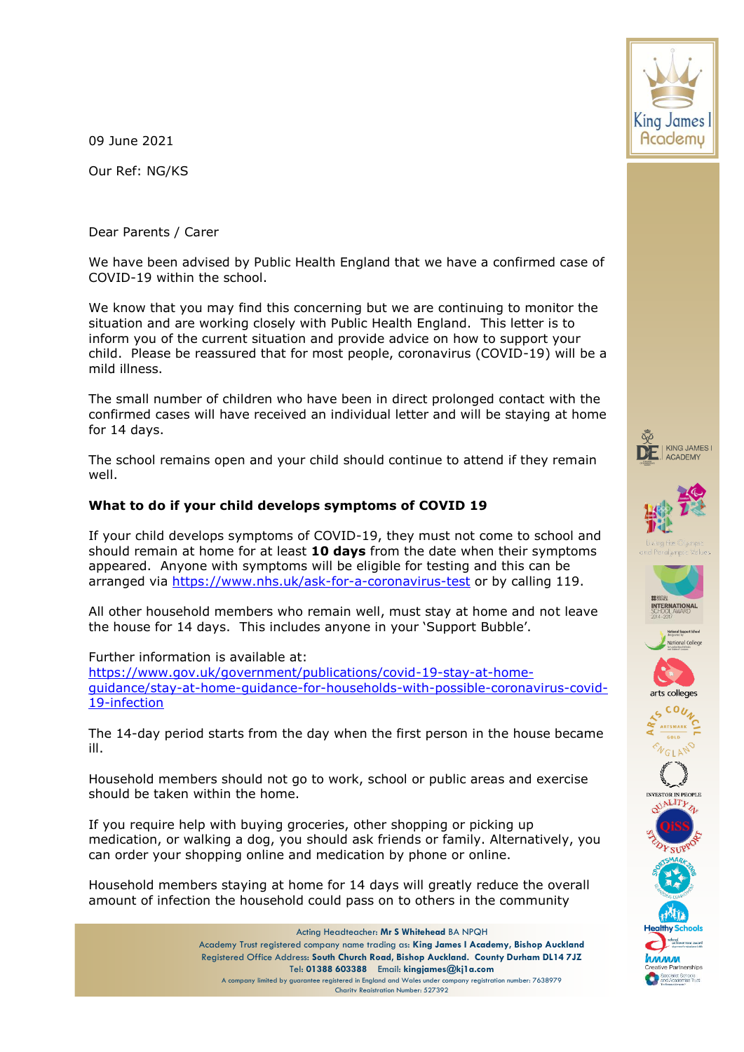09 June 2021

Our Ref: NG/KS

Dear Parents / Carer

We have been advised by Public Health England that we have a confirmed case of COVID-19 within the school.

We know that you may find this concerning but we are continuing to monitor the situation and are working closely with Public Health England. This letter is to inform you of the current situation and provide advice on how to support your child. Please be reassured that for most people, coronavirus (COVID-19) will be a mild illness.

The small number of children who have been in direct prolonged contact with the confirmed cases will have received an individual letter and will be staying at home for 14 days.

The school remains open and your child should continue to attend if they remain well.

## **What to do if your child develops symptoms of COVID 19**

If your child develops symptoms of COVID-19, they must not come to school and should remain at home for at least **10 days** from the date when their symptoms appeared. Anyone with symptoms will be eligible for testing and this can be arranged via<https://www.nhs.uk/ask-for-a-coronavirus-test> or by calling 119.

All other household members who remain well, must stay at home and not leave the house for 14 days. This includes anyone in your 'Support Bubble'.

Further information is available at: [https://www.gov.uk/government/publications/covid-19-stay-at-home](https://www.gov.uk/government/publications/covid-19-stay-at-home-guidance/stay-at-home-guidance-for-households-with-possible-coronavirus-covid-19-infection)[guidance/stay-at-home-guidance-for-households-with-possible-coronavirus-covid-](https://www.gov.uk/government/publications/covid-19-stay-at-home-guidance/stay-at-home-guidance-for-households-with-possible-coronavirus-covid-19-infection)[19-infection](https://www.gov.uk/government/publications/covid-19-stay-at-home-guidance/stay-at-home-guidance-for-households-with-possible-coronavirus-covid-19-infection)

The 14-day period starts from the day when the first person in the house became ill.

Household members should not go to work, school or public areas and exercise should be taken within the home.

If you require help with buying groceries, other shopping or picking up medication, or walking a dog, you should ask friends or family. Alternatively, you can order your shopping online and medication by phone or online.

Household members staying at home for 14 days will greatly reduce the overall amount of infection the household could pass on to others in the community





















.<br>Specialist Schools<br>and Academies Trus

Acting Headteacher: **Mr S Whitehead** BA NPQH Academy Trust registered company name trading as: **King James I Academy, Bishop Auckland** Registered Office Address: **South Church Road, Bishop Auckland. County Durham DL14 7JZ** Tel: **01388 603388** Email: **kingjames@kj1a.com** A company limited by guarantee registered in England and Wales under company registration number: 7638979 Charity Registration Number: 527392